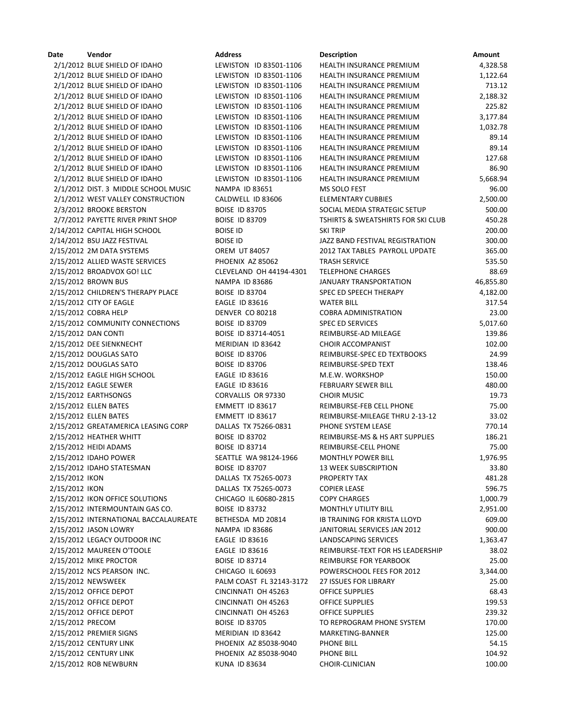| Date             | Vendor                                | Address                  | <b>Description</b>                            | Amount    |
|------------------|---------------------------------------|--------------------------|-----------------------------------------------|-----------|
|                  | 2/1/2012 BLUE SHIELD OF IDAHO         | LEWISTON ID 83501-1106   | HEALTH INSURANCE PREMIUM                      | 4,328.58  |
|                  | 2/1/2012 BLUE SHIELD OF IDAHO         | LEWISTON ID 83501-1106   | <b>HEALTH INSURANCE PREMIUM</b>               | 1,122.64  |
|                  | 2/1/2012 BLUE SHIELD OF IDAHO         | LEWISTON ID 83501-1106   | HEALTH INSURANCE PREMIUM                      | 713.12    |
|                  | 2/1/2012 BLUE SHIELD OF IDAHO         | LEWISTON ID 83501-1106   | HEALTH INSURANCE PREMIUM                      | 2,188.32  |
|                  | 2/1/2012 BLUE SHIELD OF IDAHO         | LEWISTON ID 83501-1106   | HEALTH INSURANCE PREMIUM                      | 225.82    |
|                  | 2/1/2012 BLUE SHIELD OF IDAHO         | LEWISTON ID 83501-1106   | <b>HEALTH INSURANCE PREMIUM</b>               | 3,177.84  |
|                  | 2/1/2012 BLUE SHIELD OF IDAHO         | LEWISTON ID 83501-1106   | HEALTH INSURANCE PREMIUM                      | 1,032.78  |
|                  | 2/1/2012 BLUE SHIELD OF IDAHO         | LEWISTON ID 83501-1106   | HEALTH INSURANCE PREMIUM                      | 89.14     |
|                  | 2/1/2012 BLUE SHIELD OF IDAHO         | LEWISTON ID 83501-1106   | HEALTH INSURANCE PREMIUM                      | 89.14     |
|                  | 2/1/2012 BLUE SHIELD OF IDAHO         | LEWISTON ID 83501-1106   | <b>HEALTH INSURANCE PREMIUM</b>               | 127.68    |
|                  | 2/1/2012 BLUE SHIELD OF IDAHO         | LEWISTON ID 83501-1106   | HEALTH INSURANCE PREMIUM                      | 86.90     |
|                  | 2/1/2012 BLUE SHIELD OF IDAHO         | LEWISTON ID 83501-1106   | HEALTH INSURANCE PREMIUM                      | 5,668.94  |
|                  | 2/1/2012 DIST. 3 MIDDLE SCHOOL MUSIC  | <b>NAMPA ID 83651</b>    | MS SOLO FEST                                  | 96.00     |
|                  | 2/1/2012 WEST VALLEY CONSTRUCTION     | CALDWELL ID 83606        | ELEMENTARY CUBBIES                            | 2,500.00  |
|                  | 2/3/2012 BROOKE BERSTON               | <b>BOISE ID 83705</b>    | SOCIAL MEDIA STRATEGIC SETUP                  | 500.00    |
|                  | 2/7/2012 PAYETTE RIVER PRINT SHOP     | <b>BOISE ID 83709</b>    | <b>TSHIRTS &amp; SWEATSHIRTS FOR SKI CLUB</b> | 450.28    |
|                  | 2/14/2012 CAPITAL HIGH SCHOOL         | <b>BOISE ID</b>          | <b>SKI TRIP</b>                               | 200.00    |
|                  | 2/14/2012 BSU JAZZ FESTIVAL           | <b>BOISE ID</b>          | JAZZ BAND FESTIVAL REGISTRATION               | 300.00    |
|                  | 2/15/2012 2M DATA SYSTEMS             | <b>OREM UT 84057</b>     | 2012 TAX TABLES PAYROLL UPDATE                | 365.00    |
|                  | 2/15/2012 ALLIED WASTE SERVICES       | PHOENIX AZ 85062         | <b>TRASH SERVICE</b>                          | 535.50    |
|                  | 2/15/2012 BROADVOX GO! LLC            | CLEVELAND OH 44194-4301  | <b>TELEPHONE CHARGES</b>                      | 88.69     |
|                  | 2/15/2012 BROWN BUS                   | <b>NAMPA ID 83686</b>    | <b>JANUARY TRANSPORTATION</b>                 | 46,855.80 |
|                  |                                       |                          |                                               |           |
|                  | 2/15/2012 CHILDREN'S THERAPY PLACE    | <b>BOISE ID 83704</b>    | SPEC ED SPEECH THERAPY                        | 4,182.00  |
|                  | 2/15/2012 CITY OF EAGLE               | <b>EAGLE ID 83616</b>    | <b>WATER BILL</b>                             | 317.54    |
|                  | 2/15/2012 COBRA HELP                  | DENVER CO 80218          | <b>COBRA ADMINISTRATION</b>                   | 23.00     |
|                  | 2/15/2012 COMMUNITY CONNECTIONS       | <b>BOISE ID 83709</b>    | <b>SPEC ED SERVICES</b>                       | 5,017.60  |
|                  | 2/15/2012 DAN CONTI                   | BOISE ID 83714-4051      | REIMBURSE-AD MILEAGE                          | 139.86    |
|                  | 2/15/2012 DEE SIENKNECHT              | MERIDIAN ID 83642        | <b>CHOIR ACCOMPANIST</b>                      | 102.00    |
|                  | 2/15/2012 DOUGLAS SATO                | <b>BOISE ID 83706</b>    | REIMBURSE-SPEC ED TEXTBOOKS                   | 24.99     |
|                  | 2/15/2012 DOUGLAS SATO                | <b>BOISE ID 83706</b>    | REIMBURSE-SPED TEXT                           | 138.46    |
|                  | 2/15/2012 EAGLE HIGH SCHOOL           | <b>EAGLE ID 83616</b>    | M.E.W. WORKSHOP                               | 150.00    |
|                  | 2/15/2012 EAGLE SEWER                 | EAGLE ID 83616           | <b>FEBRUARY SEWER BILL</b>                    | 480.00    |
|                  | 2/15/2012 EARTHSONGS                  | CORVALLIS OR 97330       | <b>CHOIR MUSIC</b>                            | 19.73     |
|                  | 2/15/2012 ELLEN BATES                 | EMMETT ID 83617          | REIMBURSE-FEB CELL PHONE                      | 75.00     |
|                  | 2/15/2012 ELLEN BATES                 | EMMETT ID 83617          | REIMBURSE-MILEAGE THRU 2-13-12                | 33.02     |
|                  | 2/15/2012 GREATAMERICA LEASING CORP   | DALLAS TX 75266-0831     | PHONE SYSTEM LEASE                            | 770.14    |
|                  | 2/15/2012 HEATHER WHITT               | <b>BOISE ID 83702</b>    | REIMBURSE-MS & HS ART SUPPLIES                | 186.21    |
|                  | 2/15/2012 HEIDI ADAMS                 | <b>BOISE ID 83714</b>    | REIMBURSE-CELL PHONE                          | 75.00     |
|                  | 2/15/2012 IDAHO POWER                 | SEATTLE WA 98124-1966    | MONTHLY POWER BILL                            | 1,976.95  |
|                  | 2/15/2012 IDAHO STATESMAN             | <b>BOISE ID 83707</b>    | <b>13 WEEK SUBSCRIPTION</b>                   | 33.80     |
| 2/15/2012 IKON   |                                       | DALLAS TX 75265-0073     | PROPERTY TAX                                  | 481.28    |
| 2/15/2012 IKON   |                                       | DALLAS TX 75265-0073     | <b>COPIER LEASE</b>                           | 596.75    |
|                  | 2/15/2012 IKON OFFICE SOLUTIONS       | CHICAGO IL 60680-2815    | <b>COPY CHARGES</b>                           | 1,000.79  |
|                  | 2/15/2012 INTERMOUNTAIN GAS CO.       | <b>BOISE ID 83732</b>    | MONTHLY UTILITY BILL                          | 2,951.00  |
|                  | 2/15/2012 INTERNATIONAL BACCALAUREATE | BETHESDA MD 20814        | <b>IB TRAINING FOR KRISTA LLOYD</b>           | 609.00    |
|                  | 2/15/2012 JASON LOWRY                 | <b>NAMPA ID 83686</b>    | JANITORIAL SERVICES JAN 2012                  | 900.00    |
|                  | 2/15/2012 LEGACY OUTDOOR INC          | <b>EAGLE ID 83616</b>    | LANDSCAPING SERVICES                          | 1,363.47  |
|                  | 2/15/2012 MAUREEN O'TOOLE             | <b>EAGLE ID 83616</b>    | REIMBURSE-TEXT FOR HS LEADERSHIP              | 38.02     |
|                  | 2/15/2012 MIKE PROCTOR                | <b>BOISE ID 83714</b>    | REIMBURSE FOR YEARBOOK                        | 25.00     |
|                  | 2/15/2012 NCS PEARSON INC.            | CHICAGO IL 60693         | POWERSCHOOL FEES FOR 2012                     | 3,344.00  |
|                  | 2/15/2012 NEWSWEEK                    | PALM COAST FL 32143-3172 | <b>27 ISSUES FOR LIBRARY</b>                  | 25.00     |
|                  | 2/15/2012 OFFICE DEPOT                | CINCINNATI OH 45263      | <b>OFFICE SUPPLIES</b>                        | 68.43     |
|                  | 2/15/2012 OFFICE DEPOT                | CINCINNATI OH 45263      | <b>OFFICE SUPPLIES</b>                        | 199.53    |
|                  | 2/15/2012 OFFICE DEPOT                | CINCINNATI OH 45263      | <b>OFFICE SUPPLIES</b>                        | 239.32    |
| 2/15/2012 PRECOM |                                       | <b>BOISE ID 83705</b>    | TO REPROGRAM PHONE SYSTEM                     | 170.00    |
|                  | 2/15/2012 PREMIER SIGNS               | MERIDIAN ID 83642        | MARKETING-BANNER                              | 125.00    |
|                  | 2/15/2012 CENTURY LINK                | PHOENIX AZ 85038-9040    | PHONE BILL                                    | 54.15     |
|                  | 2/15/2012 CENTURY LINK                | PHOENIX AZ 85038-9040    | PHONE BILL                                    | 104.92    |
|                  |                                       |                          |                                               |           |

2/15/2012 ROB NEWBURN KUNA ID 83634 CHOIR-CLINICIAN 100.00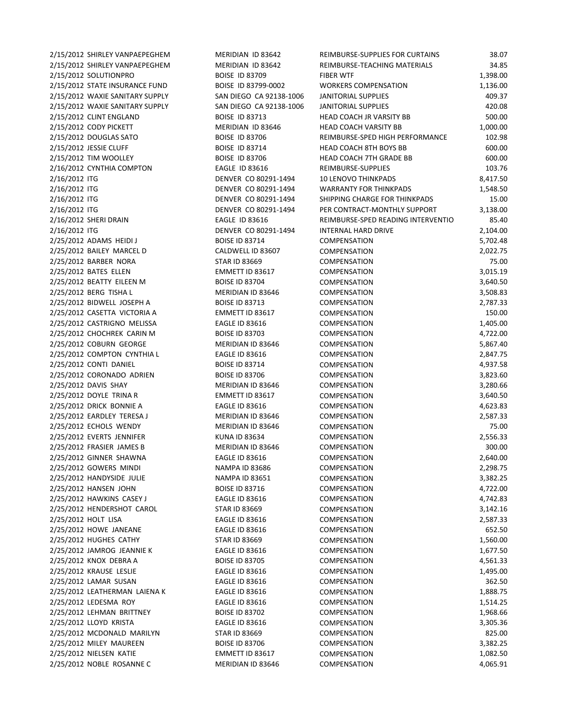| 2/15/2012 SHIRLEY VANPAEPEGHEM  | MERIDIAN ID 83642       | REIMBURSE-SUPPLIES FOR CURTAINS    | 38.07    |
|---------------------------------|-------------------------|------------------------------------|----------|
|                                 |                         |                                    |          |
| 2/15/2012 SHIRLEY VANPAEPEGHEM  | MERIDIAN ID 83642       | REIMBURSE-TEACHING MATERIALS       | 34.85    |
| 2/15/2012 SOLUTIONPRO           | <b>BOISE ID 83709</b>   | <b>FIBER WTF</b>                   | 1,398.00 |
| 2/15/2012 STATE INSURANCE FUND  | BOISE ID 83799-0002     | <b>WORKERS COMPENSATION</b>        | 1,136.00 |
| 2/15/2012 WAXIE SANITARY SUPPLY | SAN DIEGO CA 92138-1006 | <b>JANITORIAL SUPPLIES</b>         | 409.37   |
| 2/15/2012 WAXIE SANITARY SUPPLY | SAN DIEGO CA 92138-1006 | <b>JANITORIAL SUPPLIES</b>         | 420.08   |
| 2/15/2012 CLINT ENGLAND         | <b>BOISE ID 83713</b>   | HEAD COACH JR VARSITY BB           | 500.00   |
| 2/15/2012 CODY PICKETT          | MERIDIAN ID 83646       | HEAD COACH VARSITY BB              | 1,000.00 |
| 2/15/2012 DOUGLAS SATO          | <b>BOISE ID 83706</b>   | REIMBURSE-SPED HIGH PERFORMANCE    | 102.98   |
| 2/15/2012 JESSIE CLUFF          | <b>BOISE ID 83714</b>   | HEAD COACH 8TH BOYS BB             | 600.00   |
| 2/15/2012 TIM WOOLLEY           | <b>BOISE ID 83706</b>   | HEAD COACH 7TH GRADE BB            | 600.00   |
| 2/16/2012 CYNTHIA COMPTON       | <b>EAGLE ID 83616</b>   | REIMBURSE-SUPPLIES                 | 103.76   |
| 2/16/2012 ITG                   | DENVER CO 80291-1494    | <b>10 LENOVO THINKPADS</b>         | 8,417.50 |
| 2/16/2012 ITG                   | DENVER CO 80291-1494    | <b>WARRANTY FOR THINKPADS</b>      | 1,548.50 |
| 2/16/2012 ITG                   | DENVER CO 80291-1494    | SHIPPING CHARGE FOR THINKPADS      | 15.00    |
| 2/16/2012 ITG                   | DENVER CO 80291-1494    | PER CONTRACT-MONTHLY SUPPORT       | 3,138.00 |
| 2/16/2012 SHERI DRAIN           | EAGLE ID 83616          | REIMBURSE-SPED READING INTERVENTIO | 85.40    |
| 2/16/2012 ITG                   | DENVER CO 80291-1494    | <b>INTERNAL HARD DRIVE</b>         | 2,104.00 |
| 2/25/2012 ADAMS HEIDI J         | <b>BOISE ID 83714</b>   | COMPENSATION                       | 5,702.48 |
| 2/25/2012 BAILEY MARCEL D       | CALDWELL ID 83607       | <b>COMPENSATION</b>                | 2,022.75 |
|                                 | <b>STAR ID 83669</b>    | COMPENSATION                       | 75.00    |
| 2/25/2012 BARBER NORA           |                         |                                    |          |
| 2/25/2012 BATES ELLEN           | EMMETT ID 83617         | <b>COMPENSATION</b>                | 3,015.19 |
| 2/25/2012 BEATTY EILEEN M       | <b>BOISE ID 83704</b>   | <b>COMPENSATION</b>                | 3,640.50 |
| 2/25/2012 BERG TISHA L          | MERIDIAN ID 83646       | COMPENSATION                       | 3,508.83 |
| 2/25/2012 BIDWELL JOSEPH A      | <b>BOISE ID 83713</b>   | COMPENSATION                       | 2,787.33 |
| 2/25/2012 CASETTA VICTORIA A    | EMMETT ID 83617         | COMPENSATION                       | 150.00   |
| 2/25/2012 CASTRIGNO MELISSA     | <b>EAGLE ID 83616</b>   | COMPENSATION                       | 1,405.00 |
| 2/25/2012 CHOCHREK CARIN M      | <b>BOISE ID 83703</b>   | COMPENSATION                       | 4,722.00 |
| 2/25/2012 COBURN GEORGE         | MERIDIAN ID 83646       | COMPENSATION                       | 5,867.40 |
| 2/25/2012 COMPTON CYNTHIA L     | <b>EAGLE ID 83616</b>   | COMPENSATION                       | 2,847.75 |
| 2/25/2012 CONTI DANIEL          | <b>BOISE ID 83714</b>   | COMPENSATION                       | 4,937.58 |
| 2/25/2012 CORONADO ADRIEN       | <b>BOISE ID 83706</b>   | COMPENSATION                       | 3,823.60 |
| 2/25/2012 DAVIS SHAY            | MERIDIAN ID 83646       | COMPENSATION                       | 3,280.66 |
| 2/25/2012 DOYLE TRINA R         | EMMETT ID 83617         | COMPENSATION                       | 3,640.50 |
| 2/25/2012 DRICK BONNIE A        | <b>EAGLE ID 83616</b>   | <b>COMPENSATION</b>                | 4,623.83 |
| 2/25/2012 EARDLEY TERESA J      | MERIDIAN ID 83646       | COMPENSATION                       | 2,587.33 |
| 2/25/2012 ECHOLS WENDY          | MERIDIAN ID 83646       | <b>COMPENSATION</b>                | 75.00    |
| 2/25/2012 EVERTS JENNIFER       | <b>KUNA ID 83634</b>    | COMPENSATION                       | 2,556.33 |
| 2/25/2012 FRASIER JAMES B       | MERIDIAN ID 83646       | COMPENSATION                       | 300.00   |
| 2/25/2012 GINNER SHAWNA         | <b>EAGLE ID 83616</b>   | COMPENSATION                       | 2,640.00 |
| 2/25/2012 GOWERS MINDI          | <b>NAMPA ID 83686</b>   | <b>COMPENSATION</b>                | 2,298.75 |
| 2/25/2012 HANDYSIDE JULIE       | <b>NAMPA ID 83651</b>   | <b>COMPENSATION</b>                | 3,382.25 |
| 2/25/2012 HANSEN JOHN           | <b>BOISE ID 83716</b>   | <b>COMPENSATION</b>                | 4,722.00 |
| 2/25/2012 HAWKINS CASEY J       | <b>EAGLE ID 83616</b>   | <b>COMPENSATION</b>                |          |
| 2/25/2012 HENDERSHOT CAROL      |                         |                                    | 4,742.83 |
|                                 | <b>STAR ID 83669</b>    | COMPENSATION                       | 3,142.16 |
| 2/25/2012 HOLT LISA             | <b>EAGLE ID 83616</b>   | COMPENSATION                       | 2,587.33 |
| 2/25/2012 HOWE JANEANE          | <b>EAGLE ID 83616</b>   | COMPENSATION                       | 652.50   |
| 2/25/2012 HUGHES CATHY          | <b>STAR ID 83669</b>    | <b>COMPENSATION</b>                | 1,560.00 |
| 2/25/2012 JAMROG JEANNIE K      | <b>EAGLE ID 83616</b>   | COMPENSATION                       | 1,677.50 |
| 2/25/2012 KNOX DEBRA A          | <b>BOISE ID 83705</b>   | COMPENSATION                       | 4,561.33 |
| 2/25/2012 KRAUSE LESLIE         | <b>EAGLE ID 83616</b>   | COMPENSATION                       | 1,495.00 |
| 2/25/2012 LAMAR SUSAN           | EAGLE ID 83616          | COMPENSATION                       | 362.50   |
| 2/25/2012 LEATHERMAN LAIENA K   | <b>EAGLE ID 83616</b>   | <b>COMPENSATION</b>                | 1,888.75 |
| 2/25/2012 LEDESMA ROY           | <b>EAGLE ID 83616</b>   | <b>COMPENSATION</b>                | 1,514.25 |
| 2/25/2012 LEHMAN BRITTNEY       | <b>BOISE ID 83702</b>   | COMPENSATION                       | 1,968.66 |
| 2/25/2012 LLOYD KRISTA          | <b>EAGLE ID 83616</b>   | COMPENSATION                       | 3,305.36 |
| 2/25/2012 MCDONALD MARILYN      | <b>STAR ID 83669</b>    | <b>COMPENSATION</b>                | 825.00   |
| 2/25/2012 MILEY MAUREEN         | <b>BOISE ID 83706</b>   | COMPENSATION                       | 3,382.25 |
| 2/25/2012 NIELSEN KATIE         | EMMETT ID 83617         | <b>COMPENSATION</b>                | 1,082.50 |
| $2/25/2042$ NODLE DOCANNIE C    | $A$ EDIDIANIJO 02646    |                                    | 0.005.04 |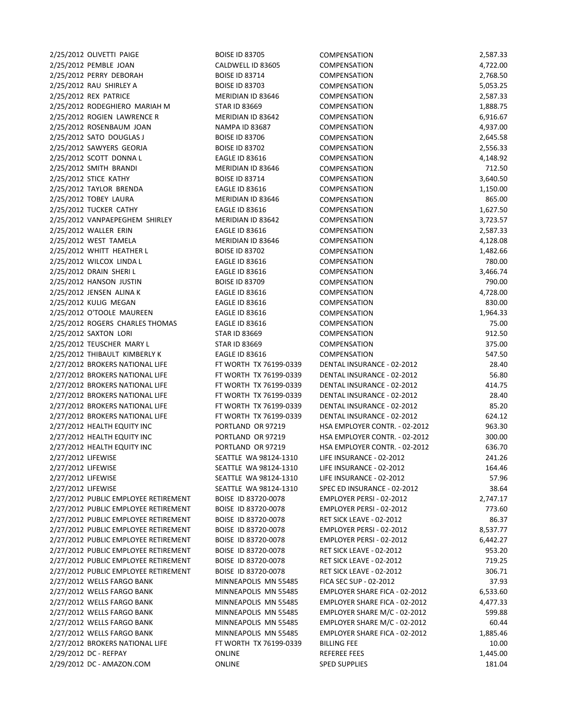2/25/2012 OLIVETTI PAIGE BOISE ID 83705 2/25/2012 PEMBLE JOAN CALDWELL ID 83605 C 2/25/2012 PERRY DEBORAH BOISE ID 83714 C 2/25/2012 RAU SHIRLEY A BOISE ID 83703 C 2/25/2012 REX PATRICE MERIDIAN ID 83646 2/25/2012 RODEGHIERO MARIAH M STAR ID 83669 COMPENSATION 1,888.75 2/25/2012 ROGIEN LAWRENCE R MERIDIAN ID 83642 C 2/25/2012 ROSENBAUM JOAN NAMPA ID 83687 2/25/2012 SATO DOUGLAS J BOISE ID 83706 COMPENSATION 2012 2/25/2012 SAWYERS GEORJA BOISE ID 83702 C 2/25/2012 SCOTT DONNA L EAGLE ID 83616 C 2/25/2012 SMITH BRANDI MERIDIAN ID 83646 2/25/2012 STICE KATHY **BOISE ID 83714** C 2/25/2012 TAYLOR BRENDA **EAGLE ID 83616** COMPENSATION 1,150.000 COMPENSATION 1,150.000 COMPENSATION 1,150.00000 2/25/2012 TOBEY LAURA MERIDIAN ID 83646 2/25/2012 TUCKER CATHY **EAGLE ID 83616** C 2/25/2012 VANPAEPEGHEM SHIRLEY MERIDIAN ID 83642 C 2/25/2012 WALLER ERIN **EAGLE ID 83616** C 2/25/2012 WEST TAMELA MERIDIAN ID 83646 2/25/2012 WHITT HEATHER L BOISE ID 83702 C 2/25/2012 WILCOX LINDA L **EAGLE ID 83616** C 2/25/2012 DRAIN SHERI L **EAGLE ID 83616** C 2/25/2012 HANSON JUSTIN BOISE ID 83709 C 2/25/2012 JENSEN ALINA K EAGLE ID 83616 C 2/25/2012 KULIG MEGAN **EAGLE ID 83616** C 2/25/2012 O'TOOLE MAUREEN EAGLE ID 83616 2/25/2012 ROGERS CHARLES THOMAS EAGLE ID 83616 COMPENSATION 75.000 COMPENSATION 75.000 COMPENSATION 75.000 COMP 2/25/2012 SAXTON LORI STAR ID 83669 COMPENSATION 1 2/25/2012 TEUSCHER MARY L STAR ID 83669 COMPENSATION 376.000 COMPENSATION 376.000 COMPENSATION 376.000 COMPENSATION 376.000 COMPENSATION 376.000 COMPENSATION 376.000 COMPENSATION 376.000 COMPENSATION 376.000 COMPENSATION 3 2/25/2012 THIBAULT KIMBERLY K EAGLE ID 83616 C 2/27/2012 BROKERS NATIONAL LIFE FT WORTH TX 76199-0339 DE 2/27/2012 BROKERS NATIONAL LIFE FT WORTH TX 76199-0339 D 2/27/2012 BROKERS NATIONAL LIFE FT WORTH TX 76199-0339 D 2/27/2012 BROKERS NATIONAL LIFE FT WORTH TX 76199-0339 D 2/27/2012 BROKERS NATIONAL LIFE FT WORTH TX 76199-0339 D 2/27/2012 BROKERS NATIONAL LIFE FT WORTH TX 76199-0339 D 2/27/2012 HEALTH EQUITY INC PORTLAND OR 97219 HS 2/27/2012 HEALTH EQUITY INC PORTLAND OR 97219 HS 2/27/2012 HEALTH EQUITY INC PORTLAND OR 97219 HS 2/27/2012 LIFEWISE **SEATTLE WA 98124-1310** L 2/27/2012 LIFEWISE **SEATTLE WA 98124-1310** L 2/27/2012 LIFEWISE **SEATTLE WA 98124-1310** L 2/27/2012 LIFEWISE SEATTLE WA 98124-1310 S 2/27/2012 PUBLIC EMPLOYEE RETIREMENT BOISE ID 83720-0078 EMPLOYER PERSI EMPLOYER PERSI EMPLOYER PERSI 2005 AN 2/27/2012 PUBLIC EMPLOYEE RETIREMENT BOISE ID 83720-0078 EMPLOYER PERSI BERSI - 02-2012 72-2012 773. 2/27/2012 PUBLIC EMPLOYEE RETIREMENT BOISE ID 83720-0078 F 2/27/2012 PUBLIC EMPLOYEE RETIREMENT BOISE ID 83720-0078 EMPLOYEE RETIREMENT 2/27/2012 PUBLIC EMPLOYEE RETIREMENT BOISE ID 83720-0078 EMPLOYER PERSI BERSI AND RESI FOR A 2/27/2012 PUBLIC EMPLOYEE RETIREMENT BOISE ID 83720-0078 R 2/27/2012 PUBLIC EMPLOYEE RETIREMENT BOISE ID 83720-0078 R 2/27/2012 PUBLIC EMPLOYEE RETIREMENT BOISE ID 83720-0078 R 2/27/2012 WELLS FARGO BANK MINNEAPOLIS MN 55485 F 2/27/2012 WELLS FARGO BANK MINNEAPOLIS MN 55485 2/27/2012 WELLS FARGO BANK MINNEAPOLIS MN 55485 E 2/27/2012 WELLS FARGO BANK MINNEAPOLIS MN 55485 E 2/27/2012 WELLS FARGO BANK MINNEAPOLIS MN 55485 E 2/27/2012 WELLS FARGO BANK MINNEAPOLIS MN 55485 2/27/2012 BROKERS NATIONAL LIFE FT WORTH TX 76199-0339 B 2/29/2012 DC - REFPAY ONLINE ONLINE 2/29/2012 DC - AMAZON.COM ONLINE ONLINE

| :OMPENSATION                  | 2,587.33 |
|-------------------------------|----------|
| <b>OMPENSATION</b>            | 4,722.00 |
| :OMPENSATION                  | 2,768.50 |
| <b>COMPENSATION</b>           | 5,053.25 |
| <b>OMPENSATION:</b>           | 2,587.33 |
| <b>OMPENSATION:</b>           | 1,888.75 |
| <b>COMPENSATION</b>           | 6,916.67 |
| <b>OMPENSATION:</b>           | 4,937.00 |
| :OMPENSATION                  | 2,645.58 |
| <b>COMPENSATION</b>           | 2,556.33 |
| <b>COMPENSATION</b>           | 4,148.92 |
| <b>OMPENSATION:</b>           | 712.50   |
| <b>OMPENSATION:</b>           | 3,640.50 |
| :OMPENSATION                  | 1,150.00 |
| <b>OMPENSATION</b>            | 865.00   |
| <b>OMPENSATION:</b>           | 1,627.50 |
| <b>OMPENSATION</b>            | 3,723.57 |
| <b>COMPENSATION</b>           | 2,587.33 |
| :OMPENSATION                  | 4,128.08 |
| <b>COMPENSATION</b>           | 1,482.66 |
| :OMPENSATION                  | 780.00   |
| :OMPENSATION                  | 3,466.74 |
| <b>COMPENSATION</b>           | 790.00   |
| <b>COMPENSATION</b>           | 4,728.00 |
| <b>OMPENSATION:</b>           | 830.00   |
| :OMPENSATION                  | 1,964.33 |
| <b>OMPENSATION</b>            | 75.00    |
| :OMPENSATION                  | 912.50   |
| <b>OMPENSATION:</b>           | 375.00   |
| :OMPENSATION                  | 547.50   |
| ENTAL INSURANCE - 02-2012     | 28.40    |
| ENTAL INSURANCE - 02-2012     | 56.80    |
| ENTAL INSURANCE - 02-2012     | 414.75   |
| ENTAL INSURANCE - 02-2012     | 28.40    |
| ENTAL INSURANCE - 02-2012     | 85.20    |
| ENTAL INSURANCE - 02-2012     | 624.12   |
| ISA EMPLOYER CONTR. - 02-2012 | 963.30   |
| ISA EMPLOYER CONTR. - 02-2012 | 300.00   |
| ISA EMPLOYER CONTR. - 02-2012 | 636.70   |
| IFE INSURANCE - 02-2012       | 241.26   |
| IFE INSURANCE - 02-2012       | 164.46   |
| IFE INSURANCE - 02-2012       | 57.96    |
| PEC ED INSURANCE - 02-2012    | 38.64    |
| MPLOYER PERSI - 02-2012       | 2,747.17 |
| MPLOYER PERSI - 02-2012       | 773.60   |
| ET SICK LEAVE - 02-2012       | 86.37    |
| MPLOYER PERSI - 02-2012       | 8,537.77 |
| MPLOYER PERSI - 02-2012       | 6,442.27 |
| ET SICK LEAVE - 02-2012       | 953.20   |
| ET SICK LEAVE - 02-2012       | 719.25   |
| ET SICK LEAVE - 02-2012       | 306.71   |
| ICA SEC SUP - 02-2012         | 37.93    |
| MPLOYER SHARE FICA - 02-2012  | 6,533.60 |
| MPLOYER SHARE FICA - 02-2012  | 4,477.33 |
| MPLOYER SHARE M/C - 02-2012   | 599.88   |
| MPLOYER SHARE M/C - 02-2012   | 60.44    |
| MPLOYER SHARE FICA - 02-2012  | 1,885.46 |
| ILLING FEE                    | 10.00    |
| <b>EFEREE FEES</b>            | 1,445.00 |
| PED SUPPLIES                  | 181.04   |